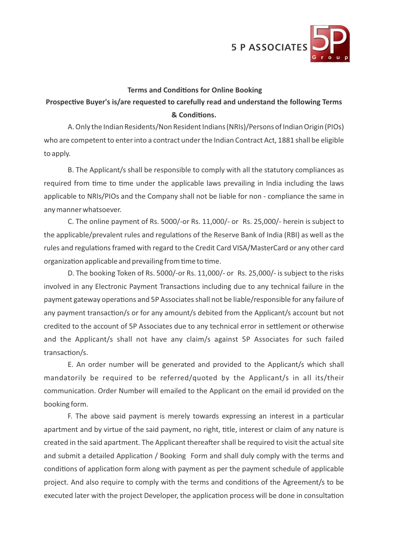

## **Terms and Conditions for Online Booking**

## Prospective Buyer's is/are requested to carefully read and understand the following Terms  $&$  Conditions.

A. Only the Indian Residents/Non Resident Indians (NRIs)/Persons of Indian Origin (PIOs) who are competent to enter into a contract under the Indian Contract Act, 1881 shall be eligible to apply.

B. The Applicant/s shall be responsible to comply with all the statutory compliances as required from time to time under the applicable laws prevailing in India including the laws applicable to NRIs/PIOs and the Company shall not be liable for non - compliance the same in any manner whatsoever.

C. The online payment of Rs. 5000/-or Rs. 11,000/- or Rs. 25,000/- herein is subject to the applicable/prevalent rules and regulations of the Reserve Bank of India (RBI) as well as the rules and regulations framed with regard to the Credit Card VISA/MasterCard or any other card organization applicable and prevailing from time to time.

D. The booking Token of Rs. 5000/-or Rs. 11,000/- or Rs. 25,000/- is subject to the risks involved in any Electronic Payment Transactions including due to any technical failure in the payment gateway operations and 5P Associates shall not be liable/responsible for any failure of any payment transaction/s or for any amount/s debited from the Applicant/s account but not credited to the account of 5P Associates due to any technical error in settlement or otherwise and the Applicant/s shall not have any claim/s against 5P Associates for such failed transaction/s.

E. An order number will be generated and provided to the Applicant/s which shall mandatorily be required to be referred/quoted by the Applicant/s in all its/their communication. Order Number will emailed to the Applicant on the email id provided on the booking form.

F. The above said payment is merely towards expressing an interest in a particular apartment and by virtue of the said payment, no right, title, interest or claim of any nature is created in the said apartment. The Applicant thereafter shall be required to visit the actual site and submit a detailed Application / Booking Form and shall duly comply with the terms and conditions of application form along with payment as per the payment schedule of applicable project. And also require to comply with the terms and conditions of the Agreement/s to be executed later with the project Developer, the application process will be done in consultation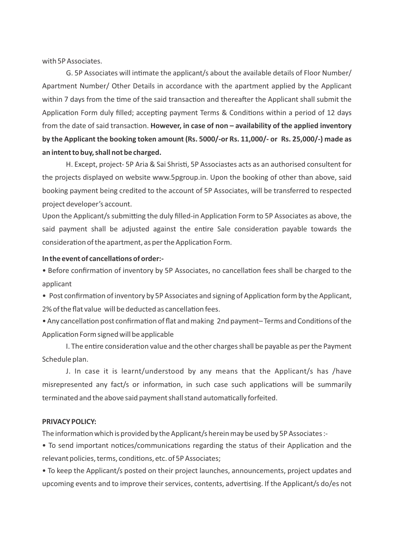with 5P Associates.

G. 5P Associates will intimate the applicant/s about the available details of Floor Number/ Apartment Number/ Other Details in accordance with the apartment applied by the Applicant within 7 days from the time of the said transaction and thereafter the Applicant shall submit the Application Form duly filled; accepting payment Terms & Conditions within a period of 12 days from the date of said transaction. However, in case of non - availability of the applied inventory **by the Applicant the booking token amount (Rs. 5000/-or Rs. 11,000/- or Rs. 25,000/-) made as an intent to buy, shall not be charged.** 

H. Except, project- 5P Aria & Sai Shristi, 5P Associastes acts as an authorised consultent for the projects displayed on website www.5pgroup.in. Upon the booking of other than above, said booking payment being credited to the account of 5P Associates, will be transferred to respected project developer's account.

Upon the Applicant/s submitting the duly filled-in Application Form to 5P Associates as above, the said payment shall be adjusted against the entire Sale consideration payable towards the consideration of the apartment, as per the Application Form.

## In the event of cancellations of order:-

• Before confirmation of inventory by 5P Associates, no cancellation fees shall be charged to the applicant

• Post confirmation of inventory by 5P Associates and signing of Application form by the Applicant, 2% of the flat value will be deducted as cancellation fees.

• Any cancellation post confirmation of flat and making 2nd payment– Terms and Conditions of the Application Form signed will be applicable

I. The entire consideration value and the other charges shall be payable as per the Payment Schedule plan.

J. In case it is learnt/understood by any means that the Applicant/s has /have misrepresented any fact/s or information, in such case such applications will be summarily terminated and the above said payment shall stand automatically forfeited.

## **PRIVACY POLICY:**

The information which is provided by the Applicant/s herein may be used by 5P Associates :-

• To send important notices/communications regarding the status of their Application and the relevant policies, terms, conditions, etc. of 5P Associates;

• To keep the Applicant/s posted on their project launches, announcements, project updates and upcoming events and to improve their services, contents, advertising. If the Applicant/s do/es not